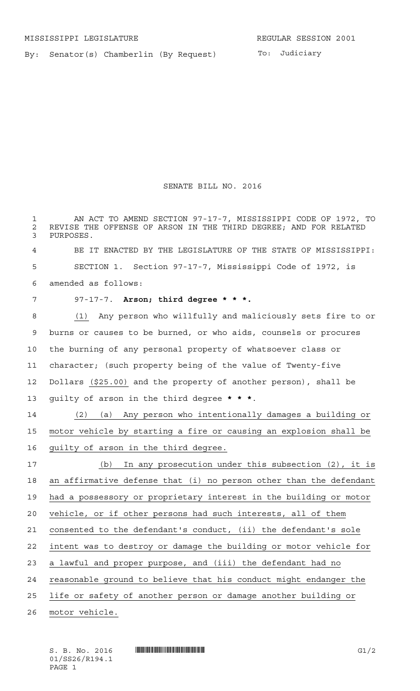By: Senator(s) Chamberlin (By Request)

## SENATE BILL NO. 2016

 AN ACT TO AMEND SECTION 97-17-7, MISSISSIPPI CODE OF 1972, TO 2 REVISE THE OFFENSE OF ARSON IN THE THIRD DEGREE; AND FOR RELATED<br>3 PURPOSES. PURPOSES.

 BE IT ENACTED BY THE LEGISLATURE OF THE STATE OF MISSISSIPPI: SECTION 1. Section 97-17-7, Mississippi Code of 1972, is amended as follows:

## 97-17-7. **Arson; third degree \* \* \*.**

 (1) Any person who willfully and maliciously sets fire to or burns or causes to be burned, or who aids, counsels or procures the burning of any personal property of whatsoever class or character; (such property being of the value of Twenty-five Dollars (\$25.00) and the property of another person), shall be guilty of arson in the third degree **\*\*\***.

 (2) (a) Any person who intentionally damages a building or motor vehicle by starting a fire or causing an explosion shall be guilty of arson in the third degree.

 (b) In any prosecution under this subsection (2), it is an affirmative defense that (i) no person other than the defendant had a possessory or proprietary interest in the building or motor vehicle, or if other persons had such interests, all of them consented to the defendant's conduct, (ii) the defendant's sole intent was to destroy or damage the building or motor vehicle for a lawful and proper purpose, and (iii) the defendant had no reasonable ground to believe that his conduct might endanger the life or safety of another person or damage another building or

motor vehicle.